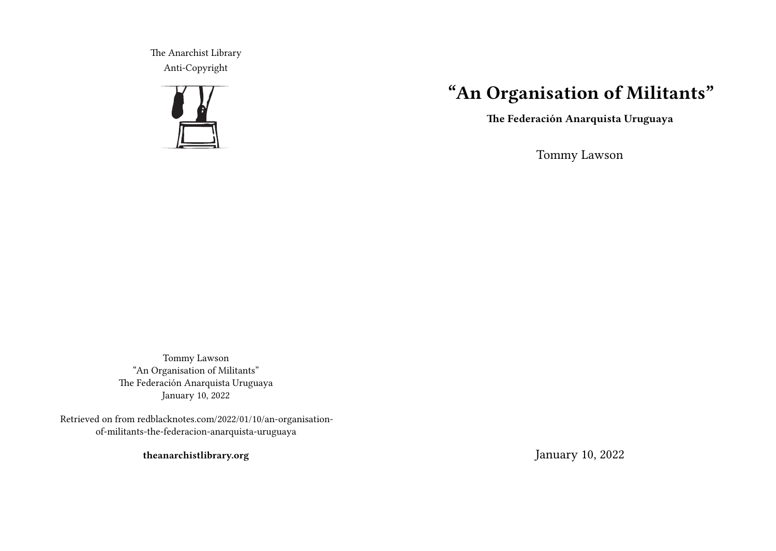The Anarchist Library Anti-Copyright



## **"An Organisation of Militants"**

**The Federación Anarquista Uruguaya**

Tommy Lawson

Tommy Lawson "An Organisation of Militants" The Federación Anarquista Uruguaya January 10, 2022

Retrieved on from redblacknotes.com/2022/01/10/an-organisationof-militants-the-federacion-anarquista-uruguaya

**theanarchistlibrary.org**

January 10, 2022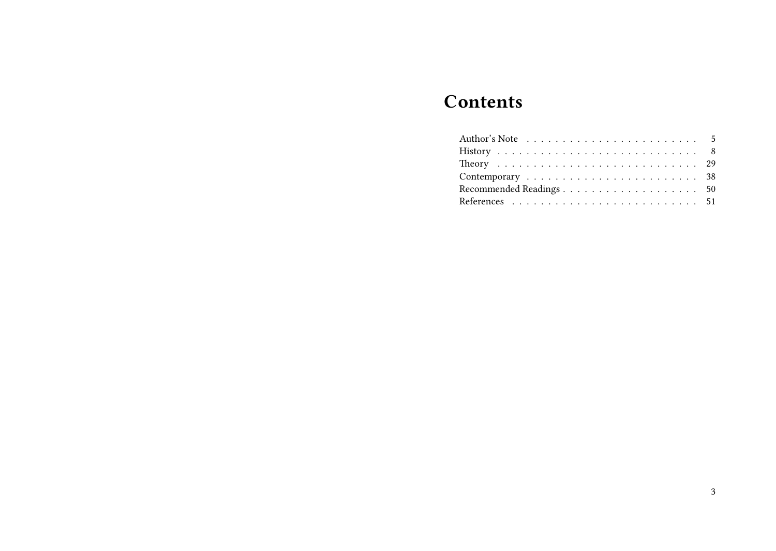# **Contents**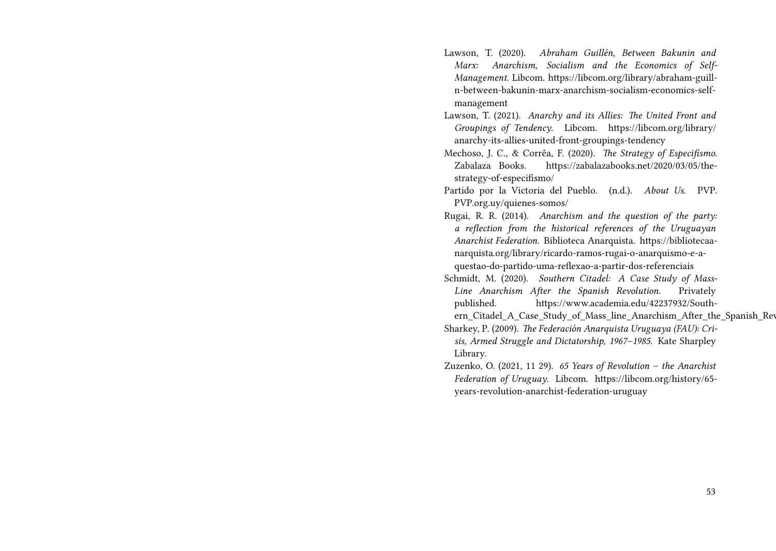- Lawson, T. (2020). *Abraham Guillén, Between Bakunin and Marx: Anarchism, Socialism and the Economics of Self-Management*. Libcom. https://libcom.org/library/abraham-guilln-between-bakunin-marx-anarchism-socialism-economics-selfmanagement
- Lawson, T. (2021). *Anarchy and its Allies: The United Front and Groupings of Tendency*. Libcom. https://libcom.org/library/ anarchy-its-allies-united-front-groupings-tendency
- Mechoso, J. C., & Corrêa, F. (2020). *The Strategy of Especifismo*. Zabalaza Books. https://zabalazabooks.net/2020/03/05/thestrategy-of-especifismo/
- Partido por la Victoria del Pueblo. (n.d.). *About Us*. PVP. PVP.org.uy/quienes-somos/
- Rugai, R. R. (2014). *Anarchism and the question of the party: a reflection from the historical references of the Uruguayan Anarchist Federation*. Biblioteca Anarquista. https://bibliotecaanarquista.org/library/ricardo-ramos-rugai-o-anarquismo-e-aquestao-do-partido-uma-reflexao-a-partir-dos-referenciais
- Schmidt, M. (2020). *Southern Citadel: A Case Study of Mass-Line Anarchism After the Spanish Revolution*. Privately published. https://www.academia.edu/42237932/South-
- ern Citadel A Case Study of Mass line Anarchism After the Spanish Rev Sharkey, P. (2009). *The Federación Anarquista Uruguaya (FAU): Cri-*
- *sis, Armed Struggle and Dictatorship, 1967–1985*. Kate Sharpley Library.
- Zuzenko, O. (2021, 11 29). *65 Years of Revolution the Anarchist Federation of Uruguay*. Libcom. https://libcom.org/history/65 years-revolution-anarchist-federation-uruguay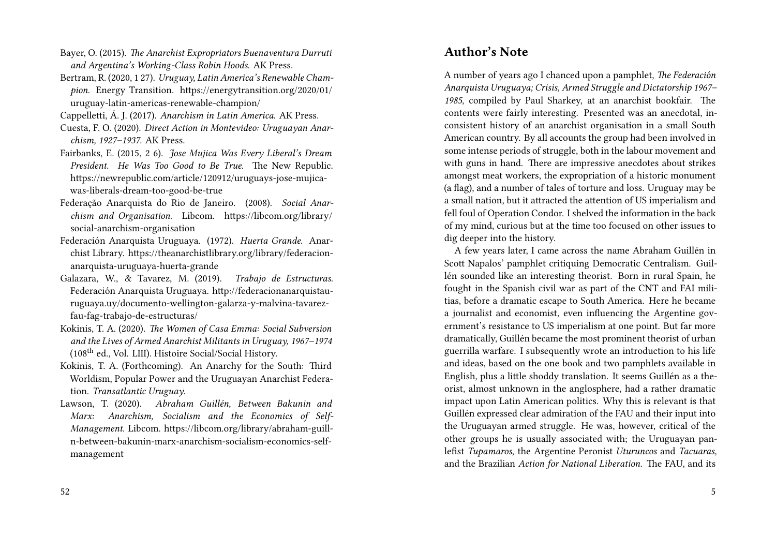- Bayer, O. (2015). *The Anarchist Expropriators Buenaventura Durruti and Argentina's Working-Class Robin Hoods*. AK Press.
- Bertram, R. (2020, 1 27). *Uruguay, Latin America's Renewable Champion*. Energy Transition. https://energytransition.org/2020/01/ uruguay-latin-americas-renewable-champion/
- Cappelletti, Á. J. (2017). *Anarchism in Latin America*. AK Press.
- Cuesta, F. O. (2020). *Direct Action in Montevideo: Uruguayan Anarchism, 1927–1937.* AK Press.
- Fairbanks, E. (2015, 2 6). *Jose Mujica Was Every Liberal's Dream President. He Was Too Good to Be True.* The New Republic. https://newrepublic.com/article/120912/uruguays-jose-mujicawas-liberals-dream-too-good-be-true
- Federação Anarquista do Rio de Janeiro. (2008). *Social Anarchism and Organisation*. Libcom. https://libcom.org/library/ social-anarchism-organisation
- Federación Anarquista Uruguaya. (1972). *Huerta Grande*. Anarchist Library. https://theanarchistlibrary.org/library/federacionanarquista-uruguaya-huerta-grande
- Galazara, W., & Tavarez, M. (2019). *Trabajo de Estructuras*. Federación Anarquista Uruguaya. http://federacionanarquistauruguaya.uy/documento-wellington-galarza-y-malvina-tavarezfau-fag-trabajo-de-estructuras/
- Kokinis, T. A. (2020). *The Women of Casa Emma: Social Subversion and the Lives of Armed Anarchist Militants in Uruguay, 1967–1974* (108th ed., Vol. LIII). Histoire Social/Social History.
- Kokinis, T. A. (Forthcoming). An Anarchy for the South: Third Worldism, Popular Power and the Uruguayan Anarchist Federation. *Transatlantic Uruguay*.
- Lawson, T. (2020). *Abraham Guillén, Between Bakunin and Marx: Anarchism, Socialism and the Economics of Self-Management*. Libcom. https://libcom.org/library/abraham-guilln-between-bakunin-marx-anarchism-socialism-economics-selfmanagement

## **Author's Note**

A number of years ago I chanced upon a pamphlet, *The Federación Anarquista Uruguaya; Crisis, Armed Struggle and Dictatorship 1967– 1985*, compiled by Paul Sharkey, at an anarchist bookfair. The contents were fairly interesting. Presented was an anecdotal, inconsistent history of an anarchist organisation in a small South American country. By all accounts the group had been involved in some intense periods of struggle, both in the labour movement and with guns in hand. There are impressive anecdotes about strikes amongst meat workers, the expropriation of a historic monument (a flag), and a number of tales of torture and loss. Uruguay may be a small nation, but it attracted the attention of US imperialism and fell foul of Operation Condor. I shelved the information in the back of my mind, curious but at the time too focused on other issues to dig deeper into the history.

A few years later, I came across the name Abraham Guillén in Scott Napalos' pamphlet critiquing Democratic Centralism. Guillén sounded like an interesting theorist. Born in rural Spain, he fought in the Spanish civil war as part of the CNT and FAI militias, before a dramatic escape to South America. Here he became a journalist and economist, even influencing the Argentine government's resistance to US imperialism at one point. But far more dramatically, Guillén became the most prominent theorist of urban guerrilla warfare. I subsequently wrote an introduction to his life and ideas, based on the one book and two pamphlets available in English, plus a little shoddy translation. It seems Guillén as a theorist, almost unknown in the anglosphere, had a rather dramatic impact upon Latin American politics. Why this is relevant is that Guillén expressed clear admiration of the FAU and their input into the Uruguayan armed struggle. He was, however, critical of the other groups he is usually associated with; the Uruguayan panlefist *Tupamaros*, the Argentine Peronist *Uturuncos* and *Tacuaras,* and the Brazilian *Action for National Liberation*. The FAU, and its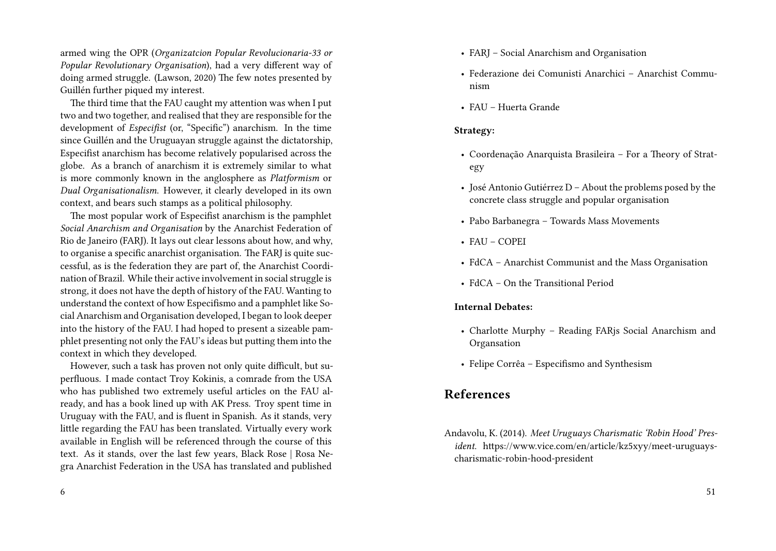armed wing the OPR (*Organizatcion Popular Revolucionaria-33 or Popular Revolutionary Organisation*), had a very different way of doing armed struggle. (Lawson, 2020) The few notes presented by Guillén further piqued my interest.

The third time that the FAU caught my attention was when I put two and two together, and realised that they are responsible for the development of *Especifist* (or, "Specific") anarchism. In the time since Guillén and the Uruguayan struggle against the dictatorship, Especifist anarchism has become relatively popularised across the globe. As a branch of anarchism it is extremely similar to what is more commonly known in the anglosphere as *Platformism* or *Dual Organisationalism*. However, it clearly developed in its own context, and bears such stamps as a political philosophy.

The most popular work of Especifist anarchism is the pamphlet *Social Anarchism and Organisation* by the Anarchist Federation of Rio de Janeiro (FARJ). It lays out clear lessons about how, and why, to organise a specific anarchist organisation. The FARJ is quite successful, as is the federation they are part of, the Anarchist Coordination of Brazil. While their active involvement in social struggle is strong, it does not have the depth of history of the FAU. Wanting to understand the context of how Especifismo and a pamphlet like Social Anarchism and Organisation developed, I began to look deeper into the history of the FAU. I had hoped to present a sizeable pamphlet presenting not only the FAU's ideas but putting them into the context in which they developed.

However, such a task has proven not only quite difficult, but superfluous. I made contact Troy Kokinis, a comrade from the USA who has published two extremely useful articles on the FAU already, and has a book lined up with AK Press. Troy spent time in Uruguay with the FAU, and is fluent in Spanish. As it stands, very little regarding the FAU has been translated. Virtually every work available in English will be referenced through the course of this text. As it stands, over the last few years, Black Rose | Rosa Negra Anarchist Federation in the USA has translated and published

6

- FARJ Social Anarchism and Organisation
- Federazione dei Comunisti Anarchici Anarchist Communism
- FAU Huerta Grande

#### **Strategy:**

- Coordenação Anarquista Brasileira For a Theory of Strategy
- José Antonio Gutiérrez D About the problems posed by the concrete class struggle and popular organisation
- Pabo Barbanegra Towards Mass Movements
- FAU COPEI
- FdCA Anarchist Communist and the Mass Organisation
- FdCA On the Transitional Period

#### **Internal Debates:**

- Charlotte Murphy Reading FARjs Social Anarchism and Organsation
- Felipe Corrêa Especifismo and Synthesism

## **References**

Andavolu, K. (2014). *Meet Uruguays Charismatic 'Robin Hood' President*. https://www.vice.com/en/article/kz5xyy/meet-uruguayscharismatic-robin-hood-president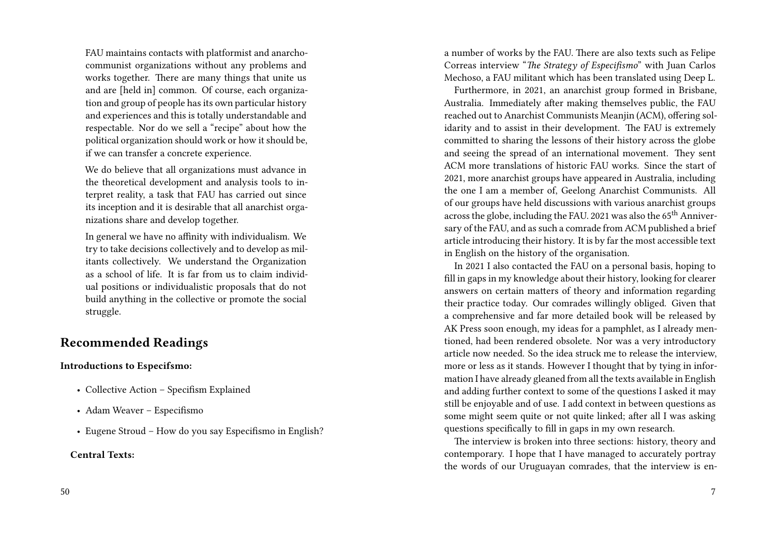FAU maintains contacts with platformist and anarchocommunist organizations without any problems and works together. There are many things that unite us and are [held in] common. Of course, each organization and group of people has its own particular history and experiences and this is totally understandable and respectable. Nor do we sell a "recipe" about how the political organization should work or how it should be, if we can transfer a concrete experience.

We do believe that all organizations must advance in the theoretical development and analysis tools to interpret reality, a task that FAU has carried out since its inception and it is desirable that all anarchist organizations share and develop together.

In general we have no affinity with individualism. We try to take decisions collectively and to develop as militants collectively. We understand the Organization as a school of life. It is far from us to claim individual positions or individualistic proposals that do not build anything in the collective or promote the social struggle.

## **Recommended Readings**

#### **Introductions to Especifsmo:**

- Collective Action Specifism Explained
- Adam Weaver Especifismo
- Eugene Stroud How do you say Especifismo in English?

#### **Central Texts:**

a number of works by the FAU. There are also texts such as Felipe Correas interview "*The Strategy of Especifismo*" with Juan Carlos Mechoso, a FAU militant which has been translated using Deep L.

Furthermore, in 2021, an anarchist group formed in Brisbane, Australia. Immediately after making themselves public, the FAU reached out to Anarchist Communists Meanjin (ACM), offering solidarity and to assist in their development. The FAU is extremely committed to sharing the lessons of their history across the globe and seeing the spread of an international movement. They sent ACM more translations of historic FAU works. Since the start of 2021, more anarchist groups have appeared in Australia, including the one I am a member of, Geelong Anarchist Communists. All of our groups have held discussions with various anarchist groups across the globe, including the FAU. 2021 was also the 65<sup>th</sup> Anniversary of the FAU, and as such a comrade from ACM published a brief article introducing their history. It is by far the most accessible text in English on the history of the organisation.

In 2021 I also contacted the FAU on a personal basis, hoping to fill in gaps in my knowledge about their history, looking for clearer answers on certain matters of theory and information regarding their practice today. Our comrades willingly obliged. Given that a comprehensive and far more detailed book will be released by AK Press soon enough, my ideas for a pamphlet, as I already mentioned, had been rendered obsolete. Nor was a very introductory article now needed. So the idea struck me to release the interview, more or less as it stands. However I thought that by tying in information I have already gleaned from all the texts available in English and adding further context to some of the questions I asked it may still be enjoyable and of use. I add context in between questions as some might seem quite or not quite linked; after all I was asking questions specifically to fill in gaps in my own research.

The interview is broken into three sections: history, theory and contemporary. I hope that I have managed to accurately portray the words of our Uruguayan comrades, that the interview is en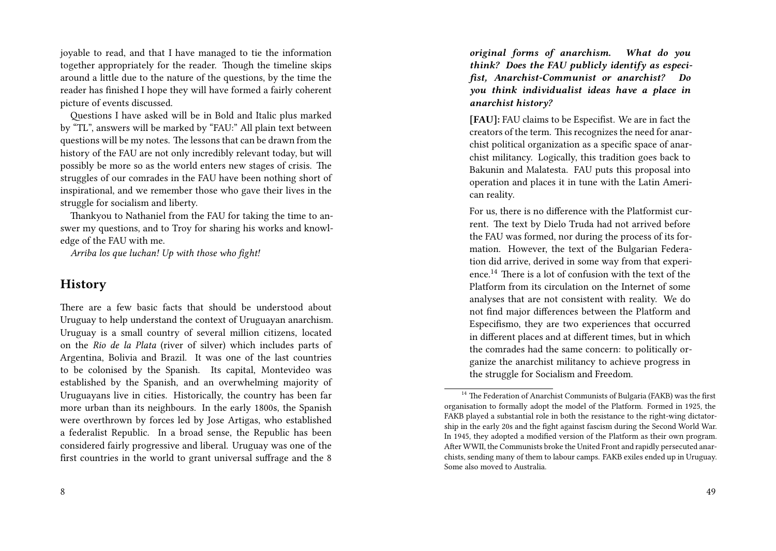joyable to read, and that I have managed to tie the information together appropriately for the reader. Though the timeline skips around a little due to the nature of the questions, by the time the reader has finished I hope they will have formed a fairly coherent picture of events discussed.

Questions I have asked will be in Bold and Italic plus marked by "TL", answers will be marked by "FAU:" All plain text between questions will be my notes. The lessons that can be drawn from the history of the FAU are not only incredibly relevant today, but will possibly be more so as the world enters new stages of crisis. The struggles of our comrades in the FAU have been nothing short of inspirational, and we remember those who gave their lives in the struggle for socialism and liberty.

Thankyou to Nathaniel from the FAU for taking the time to answer my questions, and to Troy for sharing his works and knowledge of the FAU with me.

*Arriba los que luchan! Up with those who fight!*

## **History**

There are a few basic facts that should be understood about Uruguay to help understand the context of Uruguayan anarchism. Uruguay is a small country of several million citizens, located on the *Rio de la Plata* (river of silver) which includes parts of Argentina, Bolivia and Brazil. It was one of the last countries to be colonised by the Spanish. Its capital, Montevideo was established by the Spanish, and an overwhelming majority of Uruguayans live in cities. Historically, the country has been far more urban than its neighbours. In the early 1800s, the Spanish were overthrown by forces led by Jose Artigas, who established a federalist Republic. In a broad sense, the Republic has been considered fairly progressive and liberal. Uruguay was one of the first countries in the world to grant universal suffrage and the 8

*original forms of anarchism. What do you think? Does the FAU publicly identify as especifist, Anarchist-Communist or anarchist? Do you think individualist ideas have a place in anarchist history?*

**[FAU]:** FAU claims to be Especifist. We are in fact the creators of the term. This recognizes the need for anarchist political organization as a specific space of anarchist militancy. Logically, this tradition goes back to Bakunin and Malatesta. FAU puts this proposal into operation and places it in tune with the Latin American reality.

For us, there is no difference with the Platformist current. The text by Dielo Truda had not arrived before the FAU was formed, nor during the process of its formation. However, the text of the Bulgarian Federation did arrive, derived in some way from that experience.<sup>14</sup> There is a lot of confusion with the text of the Platform from its circulation on the Internet of some analyses that are not consistent with reality. We do not find major differences between the Platform and Especifismo, they are two experiences that occurred in different places and at different times, but in which the comrades had the same concern: to politically organize the anarchist militancy to achieve progress in the struggle for Socialism and Freedom.

<sup>&</sup>lt;sup>14</sup> The Federation of Anarchist Communists of Bulgaria (FAKB) was the first organisation to formally adopt the model of the Platform. Formed in 1925, the FAKB played a substantial role in both the resistance to the right-wing dictatorship in the early 20s and the fight against fascism during the Second World War. In 1945, they adopted a modified version of the Platform as their own program. After WWII, the Communists broke the United Front and rapidly persecuted anarchists, sending many of them to labour camps. FAKB exiles ended up in Uruguay. Some also moved to Australia.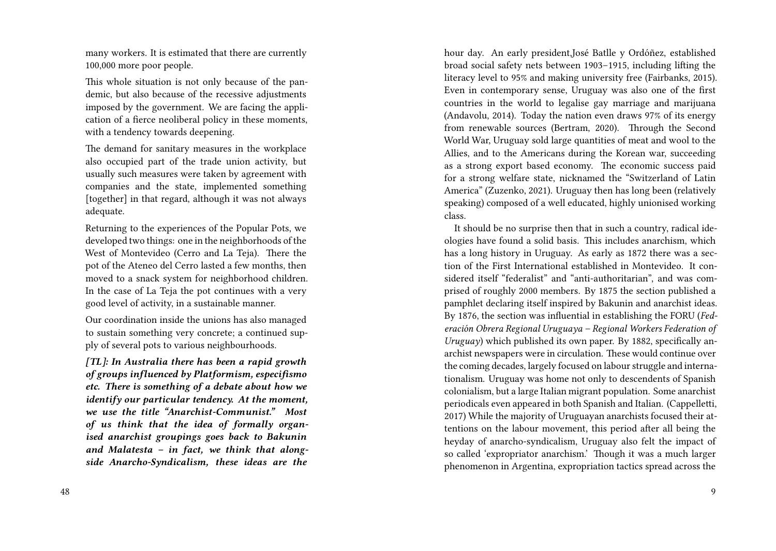many workers. It is estimated that there are currently 100,000 more poor people.

This whole situation is not only because of the pandemic, but also because of the recessive adjustments imposed by the government. We are facing the application of a fierce neoliberal policy in these moments, with a tendency towards deepening.

The demand for sanitary measures in the workplace also occupied part of the trade union activity, but usually such measures were taken by agreement with companies and the state, implemented something [together] in that regard, although it was not always adequate.

Returning to the experiences of the Popular Pots, we developed two things: one in the neighborhoods of the West of Montevideo (Cerro and La Teja). There the pot of the Ateneo del Cerro lasted a few months, then moved to a snack system for neighborhood children. In the case of La Teja the pot continues with a very good level of activity, in a sustainable manner.

Our coordination inside the unions has also managed to sustain something very concrete; a continued supply of several pots to various neighbourhoods.

*[TL]: In Australia there has been a rapid growth of groups influenced by Platformism, especifismo etc. There is something of a debate about how we identify our particular tendency. At the moment, we use the title "Anarchist-Communist." Most of us think that the idea of formally organised anarchist groupings goes back to Bakunin and Malatesta – in fact, we think that alongside Anarcho-Syndicalism, these ideas are the*

hour day. An early president,José Batlle y Ordóñez, established broad social safety nets between 1903–1915, including lifting the literacy level to 95% and making university free (Fairbanks, 2015). Even in contemporary sense, Uruguay was also one of the first countries in the world to legalise gay marriage and marijuana (Andavolu, 2014). Today the nation even draws 97% of its energy from renewable sources (Bertram, 2020). Through the Second World War, Uruguay sold large quantities of meat and wool to the Allies, and to the Americans during the Korean war, succeeding as a strong export based economy. The economic success paid for a strong welfare state, nicknamed the "Switzerland of Latin America" (Zuzenko, 2021). Uruguay then has long been (relatively speaking) composed of a well educated, highly unionised working class.

It should be no surprise then that in such a country, radical ideologies have found a solid basis. This includes anarchism, which has a long history in Uruguay. As early as 1872 there was a section of the First International established in Montevideo. It considered itself "federalist" and "anti-authoritarian", and was comprised of roughly 2000 members. By 1875 the section published a pamphlet declaring itself inspired by Bakunin and anarchist ideas. By 1876, the section was influential in establishing the FORU (*Federación Obrera Regional Uruguaya – Regional Workers Federation of Uruguay*) which published its own paper. By 1882, specifically anarchist newspapers were in circulation. These would continue over the coming decades, largely focused on labour struggle and internationalism. Uruguay was home not only to descendents of Spanish colonialism, but a large Italian migrant population. Some anarchist periodicals even appeared in both Spanish and Italian. (Cappelletti, 2017) While the majority of Uruguayan anarchists focused their attentions on the labour movement, this period after all being the heyday of anarcho-syndicalism, Uruguay also felt the impact of so called 'expropriator anarchism.' Though it was a much larger phenomenon in Argentina, expropriation tactics spread across the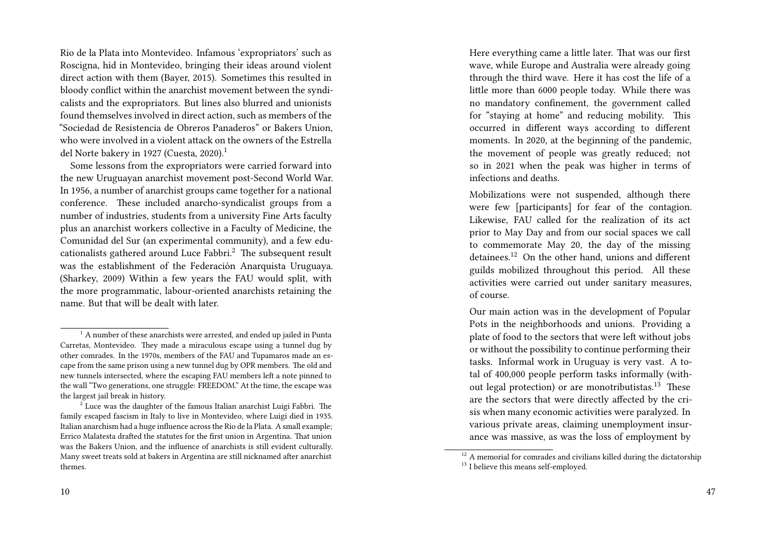Rio de la Plata into Montevideo. Infamous 'expropriators' such as Roscigna, hid in Montevideo, bringing their ideas around violent direct action with them (Bayer, 2015). Sometimes this resulted in bloody conflict within the anarchist movement between the syndicalists and the expropriators. But lines also blurred and unionists found themselves involved in direct action, such as members of the "Sociedad de Resistencia de Obreros Panaderos" or Bakers Union, who were involved in a violent attack on the owners of the Estrella del Norte bakery in 1927 (Cuesta, 2020).<sup>1</sup>

Some lessons from the expropriators were carried forward into the new Uruguayan anarchist movement post-Second World War. In 1956, a number of anarchist groups came together for a national conference. These included anarcho-syndicalist groups from a number of industries, students from a university Fine Arts faculty plus an anarchist workers collective in a Faculty of Medicine, the Comunidad del Sur (an experimental community), and a few educationalists gathered around Luce Fabbri.<sup>2</sup> The subsequent result was the establishment of the Federación Anarquista Uruguaya. (Sharkey, 2009) Within a few years the FAU would split, with the more programmatic, labour-oriented anarchists retaining the name. But that will be dealt with later.

Here everything came a little later. That was our first wave, while Europe and Australia were already going through the third wave. Here it has cost the life of a little more than 6000 people today. While there was no mandatory confinement, the government called for "staying at home" and reducing mobility. This occurred in different ways according to different moments. In 2020, at the beginning of the pandemic, the movement of people was greatly reduced; not so in 2021 when the peak was higher in terms of infections and deaths.

Mobilizations were not suspended, although there were few [participants] for fear of the contagion. Likewise, FAU called for the realization of its act prior to May Day and from our social spaces we call to commemorate May 20, the day of the missing detainees.<sup>12</sup> On the other hand, unions and different guilds mobilized throughout this period. All these activities were carried out under sanitary measures, of course.

Our main action was in the development of Popular Pots in the neighborhoods and unions. Providing a plate of food to the sectors that were left without jobs or without the possibility to continue performing their tasks. Informal work in Uruguay is very vast. A total of 400,000 people perform tasks informally (without legal protection) or are monotributistas.<sup>13</sup> These are the sectors that were directly affected by the crisis when many economic activities were paralyzed. In various private areas, claiming unemployment insurance was massive, as was the loss of employment by

 $1$  A number of these anarchists were arrested, and ended up jailed in Punta Carretas, Montevideo. They made a miraculous escape using a tunnel dug by other comrades. In the 1970s, members of the FAU and Tupamaros made an escape from the same prison using a new tunnel dug by OPR members. The old and new tunnels intersected, where the escaping FAU members left a note pinned to the wall "Two generations, one struggle: FREEDOM." At the time, the escape was the largest jail break in history.

 $2^{2}$  Luce was the daughter of the famous Italian anarchist Luigi Fabbri. The family escaped fascism in Italy to live in Montevideo, where Luigi died in 1935. Italian anarchism had a huge influence across the Rio de la Plata. A small example; Errico Malatesta drafted the statutes for the first union in Argentina. That union was the Bakers Union, and the influence of anarchists is still evident culturally. Many sweet treats sold at bakers in Argentina are still nicknamed after anarchist themes.

 $12$  A memorial for comrades and civilians killed during the dictatorship <sup>13</sup> I believe this means self-employed.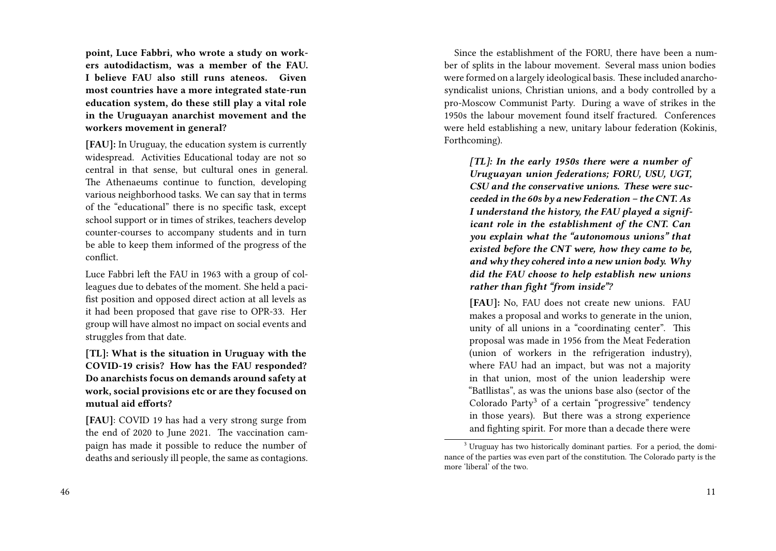**point, Luce Fabbri, who wrote a study on workers autodidactism, was a member of the FAU. I believe FAU also still runs ateneos. Given most countries have a more integrated state-run education system, do these still play a vital role in the Uruguayan anarchist movement and the workers movement in general?**

**[FAU]:** In Uruguay, the education system is currently widespread. Activities Educational today are not so central in that sense, but cultural ones in general. The Athenaeums continue to function, developing various neighborhood tasks. We can say that in terms of the "educational" there is no specific task, except school support or in times of strikes, teachers develop counter-courses to accompany students and in turn be able to keep them informed of the progress of the conflict.

Luce Fabbri left the FAU in 1963 with a group of colleagues due to debates of the moment. She held a pacifist position and opposed direct action at all levels as it had been proposed that gave rise to OPR-33. Her group will have almost no impact on social events and struggles from that date.

**[TL]: What is the situation in Uruguay with the COVID-19 crisis? How has the FAU responded? Do anarchists focus on demands around safety at work, social provisions etc or are they focused on mutual aid efforts?**

**[FAU]**: COVID 19 has had a very strong surge from the end of 2020 to June 2021. The vaccination campaign has made it possible to reduce the number of deaths and seriously ill people, the same as contagions.

46

Since the establishment of the FORU, there have been a number of splits in the labour movement. Several mass union bodies were formed on a largely ideological basis. These included anarchosyndicalist unions, Christian unions, and a body controlled by a pro-Moscow Communist Party. During a wave of strikes in the 1950s the labour movement found itself fractured. Conferences were held establishing a new, unitary labour federation (Kokinis, Forthcoming).

*[TL]: In the early 1950s there were a number of Uruguayan union federations; FORU, USU, UGT, CSU and the conservative unions. These were succeeded in the 60s by a new Federation – the CNT. As I understand the history, the FAU played a significant role in th***e** *establishment of the CNT. Can you explain what the "autonomous unions" that existed before the CNT were, how they came to be, and why they cohered into a new union body. Why did the FAU choose to help establish new unions rather than fight "from inside"?*

**[FAU]:** No, FAU does not create new unions. FAU makes a proposal and works to generate in the union, unity of all unions in a "coordinating center". This proposal was made in 1956 from the Meat Federation (union of workers in the refrigeration industry), where FAU had an impact, but was not a majority in that union, most of the union leadership were "Batllistas", as was the unions base also (sector of the Colorado Party<sup>3</sup> of a certain "progressive" tendency in those years). But there was a strong experience and fighting spirit. For more than a decade there were

<sup>&</sup>lt;sup>3</sup> Uruguay has two historically dominant parties. For a period, the dominance of the parties was even part of the constitution. The Colorado party is the more 'liberal' of the two.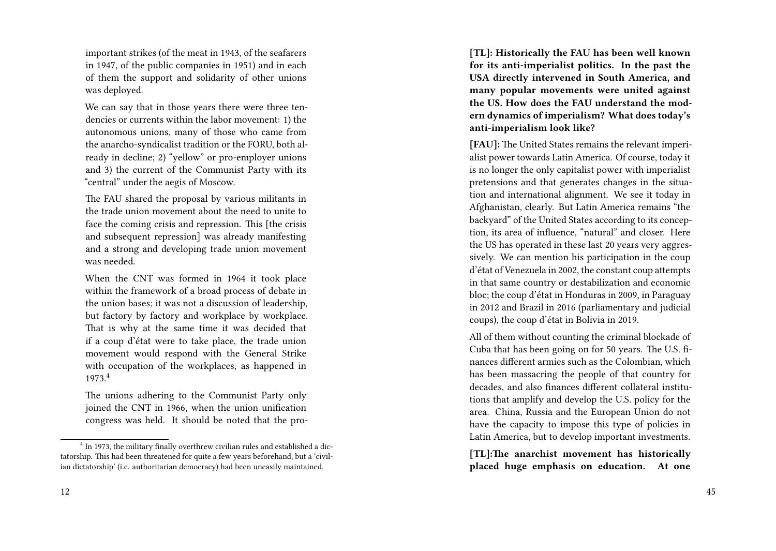important strikes (of the meat in 1943, of the seafarers in 1947, of the public companies in 1951) and in each of them the support and solidarity of other unions was deployed.

We can say that in those years there were three tendencies or currents within the labor movement: 1) the autonomous unions, many of those who came from the anarcho-syndicalist tradition or the FORU, both already in decline; 2) "yellow" or pro-employer unions and 3) the current of the Communist Party with its "central" under the aegis of Moscow.

The FAU shared the proposal by various militants in the trade union movement about the need to unite to face the coming crisis and repression. This [the crisis and subsequent repression] was already manifesting and a strong and developing trade union movement was needed.

When the CNT was formed in 1964 it took place within the framework of a broad process of debate in the union bases; it was not a discussion of leadership, but factory by factory and workplace by workplace. That is why at the same time it was decided that if a coup d'état were to take place, the trade union movement would respond with the General Strike with occupation of the workplaces, as happened in 1973.<sup>4</sup>

The unions adhering to the Communist Party only joined the CNT in 1966, when the union unification congress was held. It should be noted that the pro-

**[TL]: Historically the FAU has been well known for its anti-imperialist politics. In the past the USA directly intervened in South America, and many popular movements were united against the US. How does the FAU understand the modern dynamics of imperialism? What does today's anti-imperialism look like?**

**[FAU]:** The United States remains the relevant imperialist power towards Latin America. Of course, today it is no longer the only capitalist power with imperialist pretensions and that generates changes in the situation and international alignment. We see it today in Afghanistan, clearly. But Latin America remains "the backyard" of the United States according to its conception, its area of influence, "natural" and closer. Here the US has operated in these last 20 years very aggressively. We can mention his participation in the coup d'état of Venezuela in 2002, the constant coup attempts in that same country or destabilization and economic bloc; the coup d'état in Honduras in 2009, in Paraguay in 2012 and Brazil in 2016 (parliamentary and judicial coups), the coup d'état in Bolivia in 2019.

All of them without counting the criminal blockade of Cuba that has been going on for 50 years. The U.S. finances different armies such as the Colombian, which has been massacring the people of that country for decades, and also finances different collateral institutions that amplify and develop the U.S. policy for the area. China, Russia and the European Union do not have the capacity to impose this type of policies in Latin America, but to develop important investments.

**[TL]:The anarchist movement has historically placed huge emphasis on education. At one**

<sup>&</sup>lt;sup>4</sup> In 1973, the military finally overthrew civilian rules and established a dictatorship. This had been threatened for quite a few years beforehand, but a 'civilian dictatorship' (i.e. authoritarian democracy) had been uneasily maintained.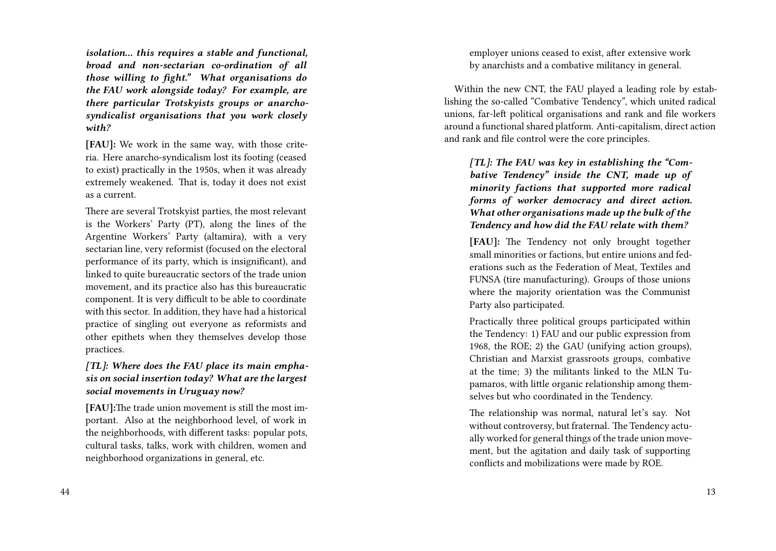*isolation… this requires a stable and functional, broad and non-sectarian co-ordination of all those willing to fight." What organisations do the FAU work alongside today? For example, are there particular Trotskyists groups or anarchosyndicalist organisations that you work closely with?*

**[FAU]:** We work in the same way, with those criteria. Here anarcho-syndicalism lost its footing (ceased to exist) practically in the 1950s, when it was already extremely weakened. That is, today it does not exist as a current.

There are several Trotskyist parties, the most relevant is the Workers' Party (PT), along the lines of the Argentine Workers' Party (altamira), with a very sectarian line, very reformist (focused on the electoral performance of its party, which is insignificant), and linked to quite bureaucratic sectors of the trade union movement, and its practice also has this bureaucratic component. It is very difficult to be able to coordinate with this sector. In addition, they have had a historical practice of singling out everyone as reformists and other epithets when they themselves develop those practices.

#### *[TL]: Where does the FAU place its main emphasis on social insertion today? What are the largest social movements in Uruguay now?*

**[FAU]:**The trade union movement is still the most important. Also at the neighborhood level, of work in the neighborhoods, with different tasks: popular pots, cultural tasks, talks, work with children, women and neighborhood organizations in general, etc.

44

employer unions ceased to exist, after extensive work by anarchists and a combative militancy in general.

Within the new CNT, the FAU played a leading role by establishing the so-called "Combative Tendency", which united radical unions, far-left political organisations and rank and file workers around a functional shared platform. Anti-capitalism, direct action and rank and file control were the core principles.

*[TL]: The FAU was key in establishing the "Combative Tendency" inside the CNT, made up of minority factions that supported more radical forms of worker democracy and direct action. What other organisations made up the bulk of the Tendency and how did the FAU relate with them?*

**[FAU]:** The Tendency not only brought together small minorities or factions, but entire unions and federations such as the Federation of Meat, Textiles and FUNSA (tire manufacturing). Groups of those unions where the majority orientation was the Communist Party also participated.

Practically three political groups participated within the Tendency: 1) FAU and our public expression from 1968, the ROE; 2) the GAU (unifying action groups), Christian and Marxist grassroots groups, combative at the time; 3) the militants linked to the MLN Tupamaros, with little organic relationship among themselves but who coordinated in the Tendency.

The relationship was normal, natural let's say. Not without controversy, but fraternal. The Tendency actually worked for general things of the trade union movement, but the agitation and daily task of supporting conflicts and mobilizations were made by ROE.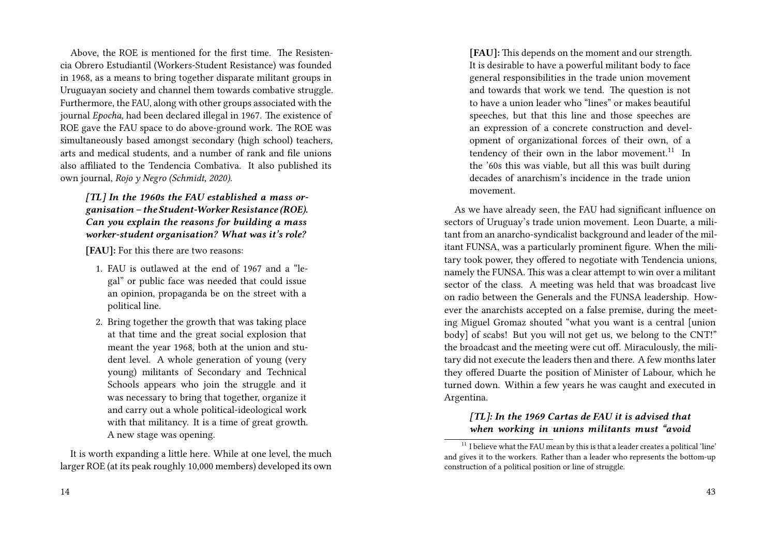Above, the ROE is mentioned for the first time. The Resistencia Obrero Estudiantil (Workers-Student Resistance) was founded in 1968, as a means to bring together disparate militant groups in Uruguayan society and channel them towards combative struggle. Furthermore, the FAU, along with other groups associated with the journal *Epocha*, had been declared illegal in 1967. The existence of ROE gave the FAU space to do above-ground work. The ROE was simultaneously based amongst secondary (high school) teachers, arts and medical students, and a number of rank and file unions also affiliated to the Tendencia Combativa. It also published its own journal, *Rojo y Negro (Schmidt, 2020)*.

*[TL] In the 1960s the FAU established a mass organisation – the Student-Worker Resistance (ROE). Can you explain the reasons for building a mass worker-student organisation? What was it's role?*

**[FAU]:** For this there are two reasons:

- 1. FAU is outlawed at the end of 1967 and a "legal" or public face was needed that could issue an opinion, propaganda be on the street with a political line.
- 2. Bring together the growth that was taking place at that time and the great social explosion that meant the year 1968, both at the union and student level. A whole generation of young (very young) militants of Secondary and Technical Schools appears who join the struggle and it was necessary to bring that together, organize it and carry out a whole political-ideological work with that militancy. It is a time of great growth. A new stage was opening.

It is worth expanding a little here. While at one level, the much larger ROE (at its peak roughly 10,000 members) developed its own

**[FAU]:** This depends on the moment and our strength. It is desirable to have a powerful militant body to face general responsibilities in the trade union movement and towards that work we tend. The question is not to have a union leader who "lines" or makes beautiful speeches, but that this line and those speeches are an expression of a concrete construction and development of organizational forces of their own, of a tendency of their own in the labor movement. $11$  In the '60s this was viable, but all this was built during decades of anarchism's incidence in the trade union movement.

As we have already seen, the FAU had significant influence on sectors of Uruguay's trade union movement. Leon Duarte, a militant from an anarcho-syndicalist background and leader of the militant FUNSA, was a particularly prominent figure. When the military took power, they offered to negotiate with Tendencia unions, namely the FUNSA. This was a clear attempt to win over a militant sector of the class. A meeting was held that was broadcast live on radio between the Generals and the FUNSA leadership. However the anarchists accepted on a false premise, during the meeting Miguel Gromaz shouted "what you want is a central [union body] of scabs! But you will not get us, we belong to the CNT!" the broadcast and the meeting were cut off. Miraculously, the military did not execute the leaders then and there. A few months later they offered Duarte the position of Minister of Labour, which he turned down. Within a few years he was caught and executed in Argentina.

#### *[TL]: In the 1969 Cartas de FAU it is advised that when working in unions militants must "avoid*

 $11$  I believe what the FAU mean by this is that a leader creates a political 'line' and gives it to the workers. Rather than a leader who represents the bottom-up construction of a political position or line of struggle.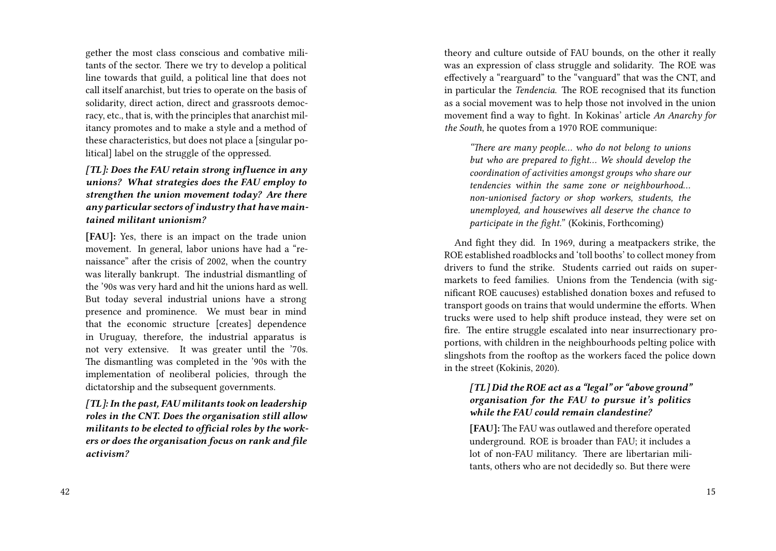gether the most class conscious and combative militants of the sector. There we try to develop a political line towards that guild, a political line that does not call itself anarchist, but tries to operate on the basis of solidarity, direct action, direct and grassroots democracy, etc., that is, with the principles that anarchist militancy promotes and to make a style and a method of these characteristics, but does not place a [singular political] label on the struggle of the oppressed.

*[TL]: Does the FAU retain strong influence in any unions? What strategies does the FAU employ to strengthen the union movement today? Are there any particular sectors of industry that have maintained militant unionism?*

**[FAU]:** Yes, there is an impact on the trade union movement. In general, labor unions have had a "renaissance" after the crisis of 2002, when the country was literally bankrupt. The industrial dismantling of the '90s was very hard and hit the unions hard as well. But today several industrial unions have a strong presence and prominence. We must bear in mind that the economic structure [creates] dependence in Uruguay, therefore, the industrial apparatus is not very extensive. It was greater until the '70s. The dismantling was completed in the '90s with the implementation of neoliberal policies, through the dictatorship and the subsequent governments.

*[TL]: In the past, FAU militants took on leadership roles in the CNT. Does the organisation still allow militants to be elected to official roles by the workers or does the organisation focus on rank and file activism?*

42

theory and culture outside of FAU bounds, on the other it really was an expression of class struggle and solidarity. The ROE was effectively a "rearguard" to the "vanguard" that was the CNT, and in particular the *Tendencia*. The ROE recognised that its function as a social movement was to help those not involved in the union movement find a way to fight. In Kokinas' article *An Anarchy for the South*, he quotes from a 1970 ROE communique:

*"There are many people… who do not belong to unions but who are prepared to fight… We should develop the coordination of activities amongst groups who share our tendencies within the same zone or neighbourhood… non-unionised factory or shop workers, students, the unemployed, and housewives all deserve the chance to participate in the fight."* (Kokinis, Forthcoming)

And fight they did. In 1969, during a meatpackers strike, the ROE established roadblocks and 'toll booths' to collect money from drivers to fund the strike. Students carried out raids on supermarkets to feed families. Unions from the Tendencia (with significant ROE caucuses) established donation boxes and refused to transport goods on trains that would undermine the efforts. When trucks were used to help shift produce instead, they were set on fire. The entire struggle escalated into near insurrectionary proportions, with children in the neighbourhoods pelting police with slingshots from the rooftop as the workers faced the police down in the street (Kokinis, 2020).

### *[TL] Did the ROE act as a "legal" or "above ground" organisation for the FAU to pursue it's politics while the FAU could remain clandestine?*

**[FAU]:** The FAU was outlawed and therefore operated underground. ROE is broader than FAU; it includes a lot of non-FAU militancy. There are libertarian militants, others who are not decidedly so. But there were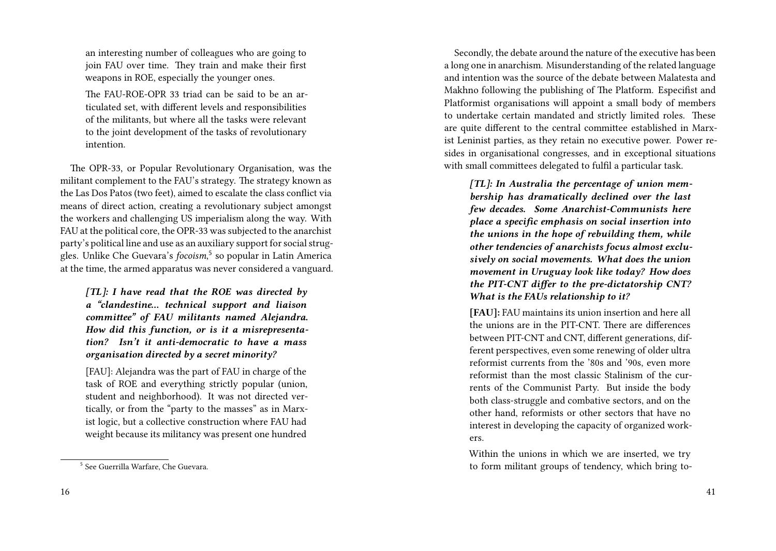an interesting number of colleagues who are going to join FAU over time. They train and make their first weapons in ROE, especially the younger ones.

The FAU-ROE-OPR 33 triad can be said to be an articulated set, with different levels and responsibilities of the militants, but where all the tasks were relevant to the joint development of the tasks of revolutionary intention.

The OPR-33, or Popular Revolutionary Organisation, was the militant complement to the FAU's strategy. The strategy known as the Las Dos Patos (two feet), aimed to escalate the class conflict via means of direct action, creating a revolutionary subject amongst the workers and challenging US imperialism along the way. With FAU at the political core, the OPR-33 was subjected to the anarchist party's political line and use as an auxiliary support for social struggles. Unlike Che Guevara's *focoism*, 5 so popular in Latin America at the time, the armed apparatus was never considered a vanguard.

*[TL]: I have read that the ROE was directed by a "clandestine… technical support and liaison committee" of FAU militants named Alejandra. How did this function, or is it a misrepresentation? Isn't it anti-democratic to have a mass organisation directed by a secret minority?*

[FAU]: Alejandra was the part of FAU in charge of the task of ROE and everything strictly popular (union, student and neighborhood). It was not directed vertically, or from the "party to the masses" as in Marxist logic, but a collective construction where FAU had weight because its militancy was present one hundred

Secondly, the debate around the nature of the executive has been a long one in anarchism. Misunderstanding of the related language and intention was the source of the debate between Malatesta and Makhno following the publishing of The Platform. Especifist and Platformist organisations will appoint a small body of members to undertake certain mandated and strictly limited roles. These are quite different to the central committee established in Marxist Leninist parties, as they retain no executive power. Power resides in organisational congresses, and in exceptional situations with small committees delegated to fulfil a particular task.

*[TL]: In Australia the percentage of union membership has dramatically declined over the last few decades. Some Anarchist-Communists here place a specific emphasis on social insertion into the unions in the hope of rebuilding them, while other tendencies of anarchists focus almost exclusively on social movements. What does the union movement in Uruguay look like today? How does the PIT-CNT differ to the pre-dictatorship CNT? What is the FAUs relationship to it?*

**[FAU]:** FAU maintains its union insertion and here all the unions are in the PIT-CNT. There are differences between PIT-CNT and CNT, different generations, different perspectives, even some renewing of older ultra reformist currents from the '80s and '90s, even more reformist than the most classic Stalinism of the currents of the Communist Party. But inside the body both class-struggle and combative sectors, and on the other hand, reformists or other sectors that have no interest in developing the capacity of organized workers.

Within the unions in which we are inserted, we try to form militant groups of tendency, which bring to-

<sup>5</sup> See Guerrilla Warfare, Che Guevara.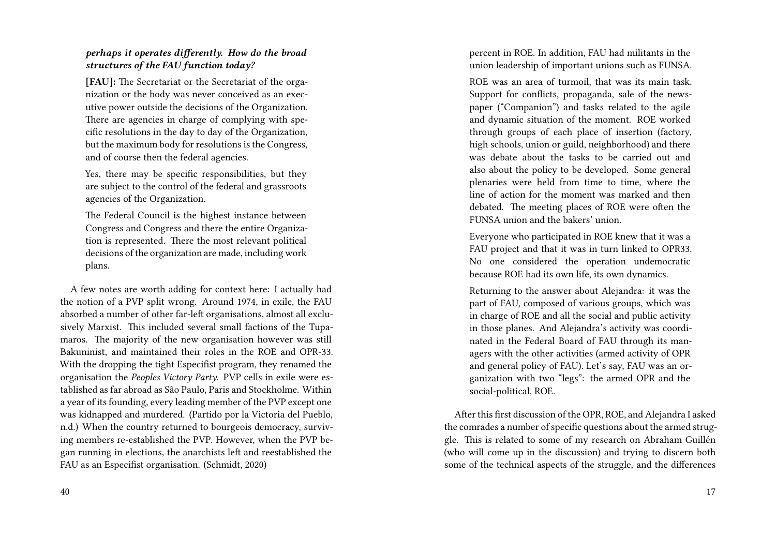#### *perhaps it operates differently. How do the broad structures of the FAU function today?*

**[FAU]:** The Secretariat or the Secretariat of the organization or the body was never conceived as an executive power outside the decisions of the Organization. There are agencies in charge of complying with specific resolutions in the day to day of the Organization, but the maximum body for resolutions is the Congress, and of course then the federal agencies.

Yes, there may be specific responsibilities, but they are subject to the control of the federal and grassroots agencies of the Organization.

The Federal Council is the highest instance between Congress and Congress and there the entire Organization is represented. There the most relevant political decisions of the organization are made, including work plans.

A few notes are worth adding for context here: I actually had the notion of a PVP split wrong. Around 1974, in exile, the FAU absorbed a number of other far-left organisations, almost all exclusively Marxist. This included several small factions of the Tupamaros. The majority of the new organisation however was still Bakuninist, and maintained their roles in the ROE and OPR-33. With the dropping the tight Especifist program, they renamed the organisation the *Peoples Victory Party*. PVP cells in exile were established as far abroad as São Paulo, Paris and Stockholme. Within a year of its founding, every leading member of the PVP except one was kidnapped and murdered. (Partido por la Victoria del Pueblo, n.d.) When the country returned to bourgeois democracy, surviving members re-established the PVP. However, when the PVP began running in elections, the anarchists left and reestablished the FAU as an Especifist organisation. (Schmidt, 2020)

percent in ROE. In addition, FAU had militants in the union leadership of important unions such as FUNSA.

ROE was an area of turmoil, that was its main task. Support for conflicts, propaganda, sale of the newspaper ("Companion") and tasks related to the agile and dynamic situation of the moment. ROE worked through groups of each place of insertion (factory, high schools, union or guild, neighborhood) and there was debate about the tasks to be carried out and also about the policy to be developed. Some general plenaries were held from time to time, where the line of action for the moment was marked and then debated. The meeting places of ROE were often the FUNSA union and the bakers' union.

Everyone who participated in ROE knew that it was a FAU project and that it was in turn linked to OPR33. No one considered the operation undemocratic because ROE had its own life, its own dynamics.

Returning to the answer about Alejandra: it was the part of FAU, composed of various groups, which was in charge of ROE and all the social and public activity in those planes. And Alejandra's activity was coordinated in the Federal Board of FAU through its managers with the other activities (armed activity of OPR and general policy of FAU). Let's say, FAU was an organization with two "legs": the armed OPR and the social-political, ROE.

After this first discussion of the OPR, ROE, and Alejandra I asked the comrades a number of specific questions about the armed struggle. This is related to some of my research on Abraham Guillén (who will come up in the discussion) and trying to discern both some of the technical aspects of the struggle, and the differences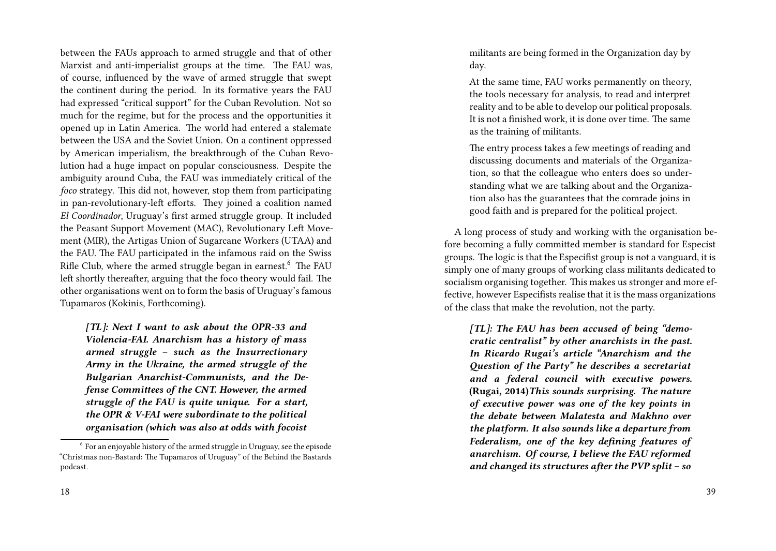between the FAUs approach to armed struggle and that of other Marxist and anti-imperialist groups at the time. The FAU was, of course, influenced by the wave of armed struggle that swept the continent during the period. In its formative years the FAU had expressed "critical support" for the Cuban Revolution. Not so much for the regime, but for the process and the opportunities it opened up in Latin America. The world had entered a stalemate between the USA and the Soviet Union. On a continent oppressed by American imperialism, the breakthrough of the Cuban Revolution had a huge impact on popular consciousness. Despite the ambiguity around Cuba, the FAU was immediately critical of the *foco* strategy. This did not, however, stop them from participating in pan-revolutionary-left efforts. They joined a coalition named *El Coordinador*, Uruguay's first armed struggle group. It included the Peasant Support Movement (MAC), Revolutionary Left Movement (MIR), the Artigas Union of Sugarcane Workers (UTAA) and the FAU. The FAU participated in the infamous raid on the Swiss Rifle Club, where the armed struggle began in earnest.<sup>6</sup> The FAU left shortly thereafter, arguing that the foco theory would fail. The other organisations went on to form the basis of Uruguay's famous Tupamaros (Kokinis, Forthcoming).

*[TL]: Next I want to ask about the OPR-33 and Violencia-FAI. Anarchism has a history of mass armed struggle – such as the Insurrectionary Army in the Ukraine, the armed struggle of the Bulgarian Anarchist-Communists, and the Defense Committees of the CNT. However, the armed struggle of the FAU is quite unique. For a start, the OPR & V-FAI were subordinate to the political organisation (which was also at odds with focoist*

militants are being formed in the Organization day by day.

At the same time, FAU works permanently on theory, the tools necessary for analysis, to read and interpret reality and to be able to develop our political proposals. It is not a finished work, it is done over time. The same as the training of militants.

The entry process takes a few meetings of reading and discussing documents and materials of the Organization, so that the colleague who enters does so understanding what we are talking about and the Organization also has the guarantees that the comrade joins in good faith and is prepared for the political project.

A long process of study and working with the organisation before becoming a fully committed member is standard for Especist groups. The logic is that the Especifist group is not a vanguard, it is simply one of many groups of working class militants dedicated to socialism organising together. This makes us stronger and more effective, however Especifists realise that it is the mass organizations of the class that make the revolution, not the party.

*[TL]: The FAU has been accused of being "democratic centralist" by other anarchists in the past. In Ricardo Rugai's article "Anarchism and the Question of the Party" he describes a secretariat and a federal council with executive powers.* **(Rugai, 2014)***This sounds surprising. The nature of executive power was one of the key points in the debate between Malatesta and Makhno over the platform. It also sounds like a departure from Federalism, one of the key defining features of anarchism. Of course, I believe the FAU reformed and changed its structures after the PVP split – so*

 $6$  For an enjoyable history of the armed struggle in Uruguay, see the episode "Christmas non-Bastard: The Tupamaros of Uruguay" of the Behind the Bastards podcast.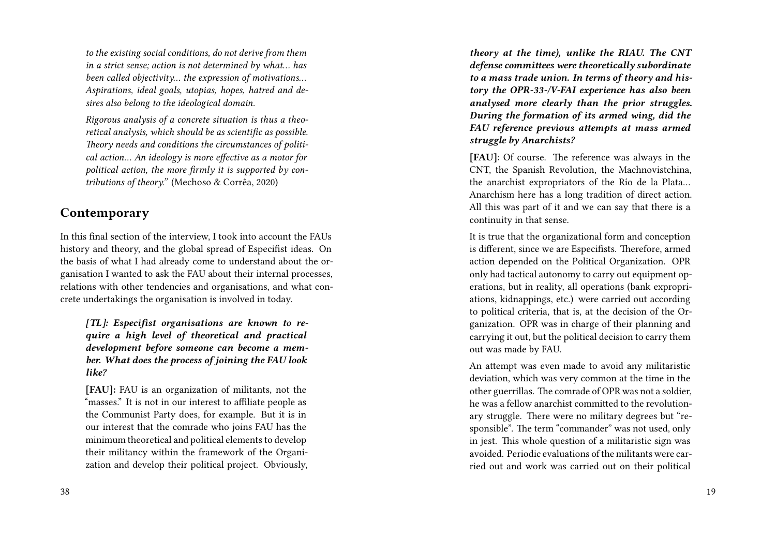*to the existing social conditions, do not derive from them in a strict sense; action is not determined by what… has been called objectivity… the expression of motivations… Aspirations, ideal goals, utopias, hopes, hatred and desires also belong to the ideological domain.*

*Rigorous analysis of a concrete situation is thus a theoretical analysis, which should be as scientific as possible. Theory needs and conditions the circumstances of political action… An ideology is more effective as a motor for political action, the more firmly it is supported by contributions of theory."* (Mechoso & Corrêa, 2020)

## **Contemporary**

In this final section of the interview, I took into account the FAUs history and theory, and the global spread of Especifist ideas. On the basis of what I had already come to understand about the organisation I wanted to ask the FAU about their internal processes, relations with other tendencies and organisations, and what concrete undertakings the organisation is involved in today.

*[TL]: Especifist organisations are known to require a high level of theoretical and practical development before someone can become a member. What does the process of joining the FAU look like?*

**[FAU]:** FAU is an organization of militants, not the "masses." It is not in our interest to affiliate people as the Communist Party does, for example. But it is in our interest that the comrade who joins FAU has the minimum theoretical and political elements to develop their militancy within the framework of the Organization and develop their political project. Obviously,

*theory at the time), unlike the RIAU. The CNT defense committees were theoretically subordinate to a mass trade union. In terms of theory and history the OPR-33-/V-FAI experience has also been analysed more clearly than the prior struggles. During the formation of its armed wing, did the FAU reference previous attempts at mass armed struggle by Anarchists?*

**[FAU]**: Of course. The reference was always in the CNT, the Spanish Revolution, the Machnovistchina, the anarchist expropriators of the Río de la Plata… Anarchism here has a long tradition of direct action. All this was part of it and we can say that there is a continuity in that sense.

It is true that the organizational form and conception is different, since we are Especifists. Therefore, armed action depended on the Political Organization. OPR only had tactical autonomy to carry out equipment operations, but in reality, all operations (bank expropriations, kidnappings, etc.) were carried out according to political criteria, that is, at the decision of the Organization. OPR was in charge of their planning and carrying it out, but the political decision to carry them out was made by FAU.

An attempt was even made to avoid any militaristic deviation, which was very common at the time in the other guerrillas. The comrade of OPR was not a soldier, he was a fellow anarchist committed to the revolutionary struggle. There were no military degrees but "responsible". The term "commander" was not used, only in jest. This whole question of a militaristic sign was avoided. Periodic evaluations of the militants were carried out and work was carried out on their political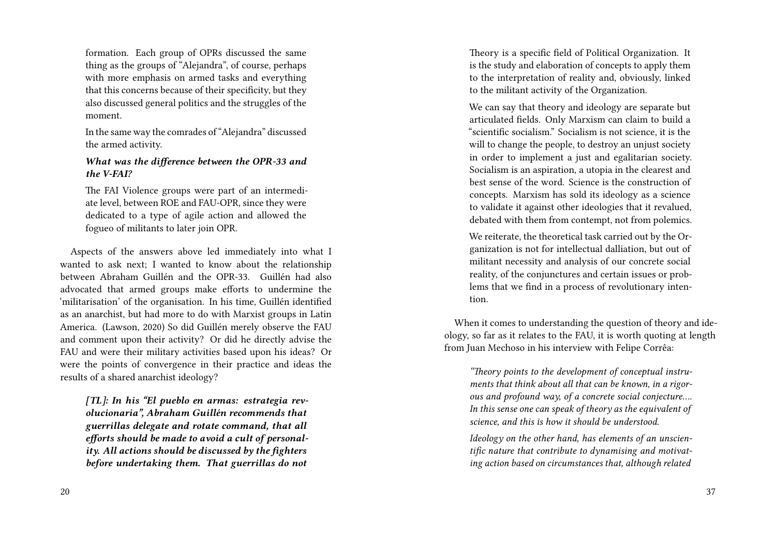formation. Each group of OPRs discussed the same thing as the groups of "Alejandra", of course, perhaps with more emphasis on armed tasks and everything that this concerns because of their specificity, but they also discussed general politics and the struggles of the moment.

In the same way the comrades of "Alejandra" discussed the armed activity.

#### *What was the difference between the OPR-33 and the V-FAI?*

The FAI Violence groups were part of an intermediate level, between ROE and FAU-OPR, since they were dedicated to a type of agile action and allowed the fogueo of militants to later join OPR.

Aspects of the answers above led immediately into what I wanted to ask next; I wanted to know about the relationship between Abraham Guillén and the OPR-33. Guillén had also advocated that armed groups make efforts to undermine the 'militarisation' of the organisation. In his time, Guillén identified as an anarchist, but had more to do with Marxist groups in Latin America. (Lawson, 2020) So did Guillén merely observe the FAU and comment upon their activity? Or did he directly advise the FAU and were their military activities based upon his ideas? Or were the points of convergence in their practice and ideas the results of a shared anarchist ideology?

*[TL]: In his "El pueblo en armas: estrategia revolucionaria", Abraham Guillén recommends that guerrillas delegate and rotate command, that all efforts should be made to avoid a cult of personality. All actions should be discussed by the fighters before undertaking them. That guerrillas do not*

Theory is a specific field of Political Organization. It is the study and elaboration of concepts to apply them to the interpretation of reality and, obviously, linked to the militant activity of the Organization.

We can say that theory and ideology are separate but articulated fields. Only Marxism can claim to build a "scientific socialism." Socialism is not science, it is the will to change the people, to destroy an unjust society in order to implement a just and egalitarian society. Socialism is an aspiration, a utopia in the clearest and best sense of the word. Science is the construction of concepts. Marxism has sold its ideology as a science to validate it against other ideologies that it revalued, debated with them from contempt, not from polemics.

We reiterate, the theoretical task carried out by the Organization is not for intellectual dalliation, but out of militant necessity and analysis of our concrete social reality, of the conjunctures and certain issues or problems that we find in a process of revolutionary intention.

When it comes to understanding the question of theory and ideology, so far as it relates to the FAU, it is worth quoting at length from Juan Mechoso in his interview with Felipe Corrêa:

*"Theory points to the development of conceptual instruments that think about all that can be known, in a rigorous and profound way, of a concrete social conjecture…. In this sense one can speak of theory as the equivalent of science, and this is how it should be understood.*

*Ideology on the other hand, has elements of an unscientific nature that contribute to dynamising and motivating action based on circumstances that, although related*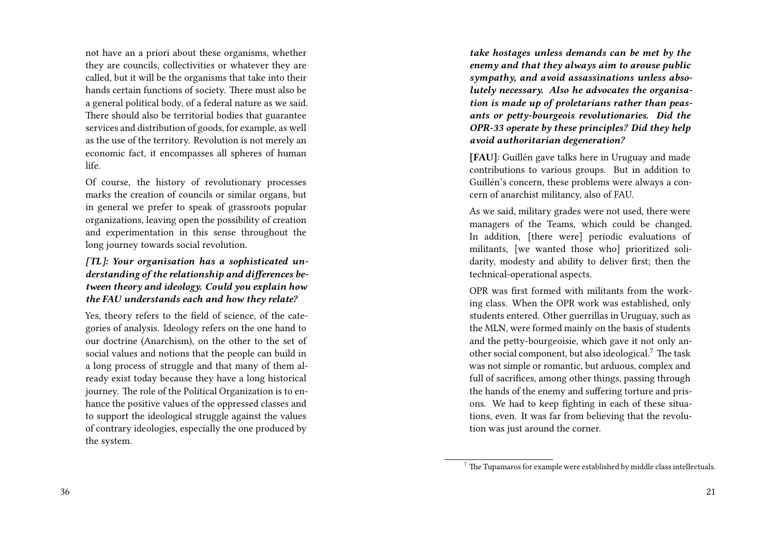not have an a priori about these organisms, whether they are councils, collectivities or whatever they are called, but it will be the organisms that take into their hands certain functions of society. There must also be a general political body, of a federal nature as we said. There should also be territorial bodies that guarantee services and distribution of goods, for example, as well as the use of the territory. Revolution is not merely an economic fact, it encompasses all spheres of human life.

Of course, the history of revolutionary processes marks the creation of councils or similar organs, but in general we prefer to speak of grassroots popular organizations, leaving open the possibility of creation and experimentation in this sense throughout the long journey towards social revolution.

#### *[TL]: Your organisation has a sophisticated understanding of the relationship and differences between theory and ideology. Could you explain how the FAU understands each and how they relate?*

Yes, theory refers to the field of science, of the categories of analysis. Ideology refers on the one hand to our doctrine (Anarchism), on the other to the set of social values and notions that the people can build in a long process of struggle and that many of them already exist today because they have a long historical journey. The role of the Political Organization is to enhance the positive values of the oppressed classes and to support the ideological struggle against the values of contrary ideologies, especially the one produced by the system.

*take hostages unless demands can be met by the enemy and that they always aim to arouse public sympathy, and avoid assassinations unless absolutely necessary. Also he advocates the organisation is made up of proletarians rather than peasants or petty-bourgeois revolutionaries. Did the OPR-33 operate by these principles? Did they help avoid authoritarian degeneration?*

**[FAU]**: Guillén gave talks here in Uruguay and made contributions to various groups. But in addition to Guillén's concern, these problems were always a concern of anarchist militancy, also of FAU.

As we said, military grades were not used, there were managers of the Teams, which could be changed. In addition, [there were] periodic evaluations of militants, [we wanted those who] prioritized solidarity, modesty and ability to deliver first; then the technical-operational aspects.

OPR was first formed with militants from the working class. When the OPR work was established, only students entered. Other guerrillas in Uruguay, such as the MLN, were formed mainly on the basis of students and the petty-bourgeoisie, which gave it not only another social component, but also ideological.<sup>7</sup> The task was not simple or romantic, but arduous, complex and full of sacrifices, among other things, passing through the hands of the enemy and suffering torture and prisons. We had to keep fighting in each of these situations, even. It was far from believing that the revolution was just around the corner.

 $7$  The Tupamaros for example were established by middle class intellectuals.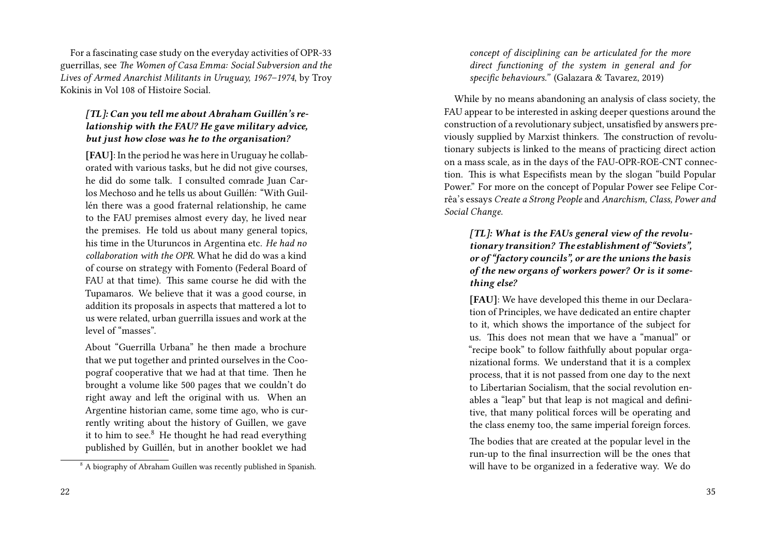For a fascinating case study on the everyday activities of OPR-33 guerrillas, see *The Women of Casa Emma: Social Subversion and the Lives of Armed Anarchist Militants in Uruguay, 1967–1974*, by Troy Kokinis in Vol 108 of Histoire Social.

#### *[TL]: Can you tell me about Abraham Guillén's relationship with the FAU? He gave military advice, but just how close was he to the organisation?*

**[FAU]**: In the period he was here in Uruguay he collaborated with various tasks, but he did not give courses, he did do some talk. I consulted comrade Juan Carlos Mechoso and he tells us about Guillén: "With Guillén there was a good fraternal relationship, he came to the FAU premises almost every day, he lived near the premises. He told us about many general topics, his time in the Uturuncos in Argentina etc. *He had no collaboration with the OPR.* What he did do was a kind of course on strategy with Fomento (Federal Board of FAU at that time). This same course he did with the Tupamaros. We believe that it was a good course, in addition its proposals in aspects that mattered a lot to us were related, urban guerrilla issues and work at the level of "masses".

About "Guerrilla Urbana" he then made a brochure that we put together and printed ourselves in the Coopograf cooperative that we had at that time. Then he brought a volume like 500 pages that we couldn't do right away and left the original with us. When an Argentine historian came, some time ago, who is currently writing about the history of Guillen, we gave it to him to see. $8$  He thought he had read everything published by Guillén, but in another booklet we had

*concept of disciplining can be articulated for the more direct functioning of the system in general and for specific behaviours."* (Galazara & Tavarez, 2019)

While by no means abandoning an analysis of class society, the FAU appear to be interested in asking deeper questions around the construction of a revolutionary subject, unsatisfied by answers previously supplied by Marxist thinkers. The construction of revolutionary subjects is linked to the means of practicing direct action on a mass scale, as in the days of the FAU-OPR-ROE-CNT connection. This is what Especifists mean by the slogan "build Popular Power." For more on the concept of Popular Power see Felipe Corrêa's essays *Create a Strong People* and *Anarchism, Class, Power and Social Change*.

*[TL]: What is the FAUs general view of the revolutionary transition? The establishment of "Soviets", or of "factory councils", or are the unions the basis of the new organs of workers power? Or is it something else?*

**[FAU]**: We have developed this theme in our Declaration of Principles, we have dedicated an entire chapter to it, which shows the importance of the subject for us. This does not mean that we have a "manual" or "recipe book" to follow faithfully about popular organizational forms. We understand that it is a complex process, that it is not passed from one day to the next to Libertarian Socialism, that the social revolution enables a "leap" but that leap is not magical and definitive, that many political forces will be operating and the class enemy too, the same imperial foreign forces.

The bodies that are created at the popular level in the run-up to the final insurrection will be the ones that will have to be organized in a federative way. We do

<sup>&</sup>lt;sup>8</sup> A biography of Abraham Guillen was recently published in Spanish.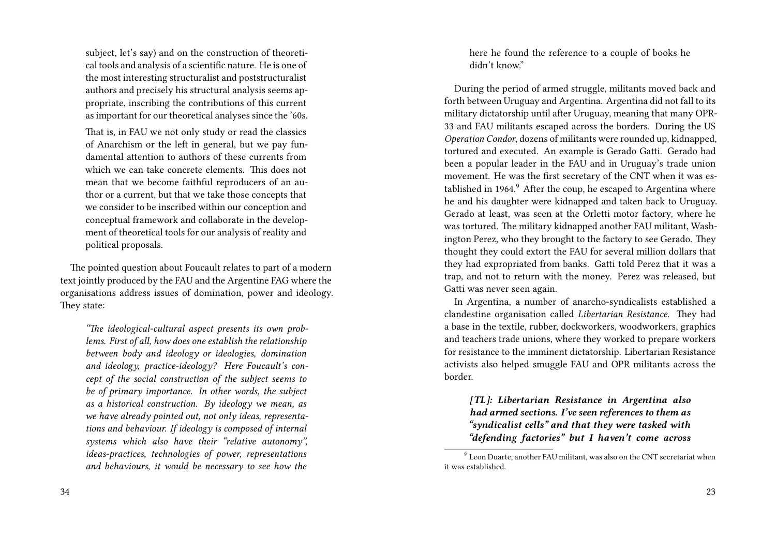subject, let's say) and on the construction of theoretical tools and analysis of a scientific nature. He is one of the most interesting structuralist and poststructuralist authors and precisely his structural analysis seems appropriate, inscribing the contributions of this current as important for our theoretical analyses since the '60s.

That is, in FAU we not only study or read the classics of Anarchism or the left in general, but we pay fundamental attention to authors of these currents from which we can take concrete elements. This does not mean that we become faithful reproducers of an author or a current, but that we take those concepts that we consider to be inscribed within our conception and conceptual framework and collaborate in the development of theoretical tools for our analysis of reality and political proposals.

The pointed question about Foucault relates to part of a modern text jointly produced by the FAU and the Argentine FAG where the organisations address issues of domination, power and ideology. They state:

*"The ideological-cultural aspect presents its own problems. First of all, how does one establish the relationship between body and ideology or ideologies, domination and ideology, practice-ideology? Here Foucault's concept of the social construction of the subject seems to be of primary importance. In other words, the subject as a historical construction. By ideology we mean, as we have already pointed out, not only ideas, representations and behaviour. If ideology is composed of internal systems which also have their "relative autonomy", ideas-practices, technologies of power, representations and behaviours, it would be necessary to see how the*

here he found the reference to a couple of books he didn't know."

During the period of armed struggle, militants moved back and forth between Uruguay and Argentina. Argentina did not fall to its military dictatorship until after Uruguay, meaning that many OPR-33 and FAU militants escaped across the borders. During the US *Operation Condor*, dozens of militants were rounded up, kidnapped, tortured and executed. An example is Gerado Gatti. Gerado had been a popular leader in the FAU and in Uruguay's trade union movement. He was the first secretary of the CNT when it was established in 1964.<sup>9</sup> After the coup, he escaped to Argentina where he and his daughter were kidnapped and taken back to Uruguay. Gerado at least, was seen at the Orletti motor factory, where he was tortured. The military kidnapped another FAU militant, Washington Perez, who they brought to the factory to see Gerado. They thought they could extort the FAU for several million dollars that they had expropriated from banks. Gatti told Perez that it was a trap, and not to return with the money. Perez was released, but Gatti was never seen again.

In Argentina, a number of anarcho-syndicalists established a clandestine organisation called *Libertarian Resistance*. They had a base in the textile, rubber, dockworkers, woodworkers, graphics and teachers trade unions, where they worked to prepare workers for resistance to the imminent dictatorship. Libertarian Resistance activists also helped smuggle FAU and OPR militants across the border.

*[TL]: Libertarian Resistance in Argentina also had armed sections. I've seen references to them as "syndicalist cells" and that they were tasked with "defending factories" but I haven't come across*

 $^9$  Leon Duarte, another FAU militant, was also on the CNT secretariat when it was established.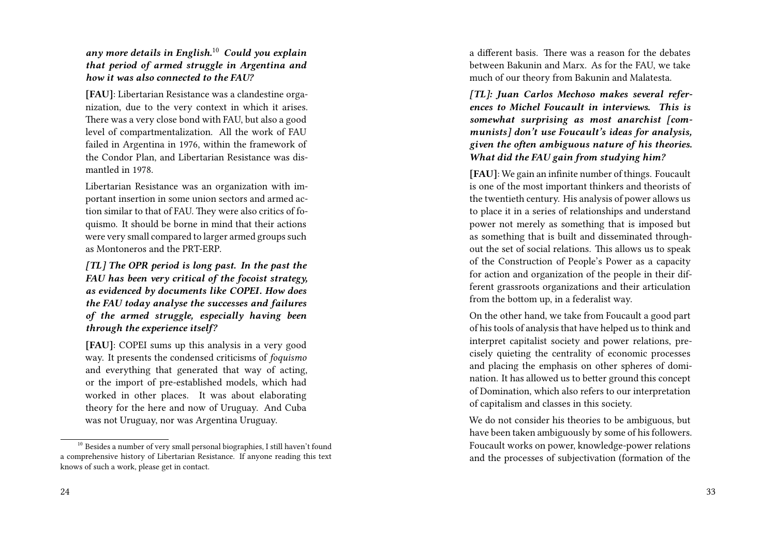*any more details in English.*<sup>10</sup> *Could you explain that period of armed struggle in Argentina and how it was also connected to the FAU?*

**[FAU]**: Libertarian Resistance was a clandestine organization, due to the very context in which it arises. There was a very close bond with FAU, but also a good level of compartmentalization. All the work of FAU failed in Argentina in 1976, within the framework of the Condor Plan, and Libertarian Resistance was dismantled in 1978.

Libertarian Resistance was an organization with important insertion in some union sectors and armed action similar to that of FAU. They were also critics of foquismo. It should be borne in mind that their actions were very small compared to larger armed groups such as Montoneros and the PRT-ERP.

*[TL] The OPR period is long past. In the past the FAU has been very critical of the focoist strategy, as evidenced by documents like COPEI. How does the FAU today analyse the successes and failures of the armed struggle, especially having been through the experience itself?*

**[FAU]**: COPEI sums up this analysis in a very good way. It presents the condensed criticisms of *foquismo* and everything that generated that way of acting, or the import of pre-established models, which had worked in other places. It was about elaborating theory for the here and now of Uruguay. And Cuba was not Uruguay, nor was Argentina Uruguay.

a different basis. There was a reason for the debates between Bakunin and Marx. As for the FAU, we take much of our theory from Bakunin and Malatesta.

*[TL]: Juan Carlos Mechoso makes several references to Michel Foucault in interviews. This is somewhat surprising as most anarchist [communists] don't use Foucault's ideas for analysis, given the often ambiguous nature of his theories. What did the FAU gain from studying him?*

**[FAU]**: We gain an infinite number of things. Foucault is one of the most important thinkers and theorists of the twentieth century. His analysis of power allows us to place it in a series of relationships and understand power not merely as something that is imposed but as something that is built and disseminated throughout the set of social relations. This allows us to speak of the Construction of People's Power as a capacity for action and organization of the people in their different grassroots organizations and their articulation from the bottom up, in a federalist way.

On the other hand, we take from Foucault a good part of his tools of analysis that have helped us to think and interpret capitalist society and power relations, precisely quieting the centrality of economic processes and placing the emphasis on other spheres of domination. It has allowed us to better ground this concept of Domination, which also refers to our interpretation of capitalism and classes in this society.

We do not consider his theories to be ambiguous, but have been taken ambiguously by some of his followers. Foucault works on power, knowledge-power relations and the processes of subjectivation (formation of the

<sup>&</sup>lt;sup>10</sup> Besides a number of very small personal biographies, I still haven't found a comprehensive history of Libertarian Resistance. If anyone reading this text knows of such a work, please get in contact.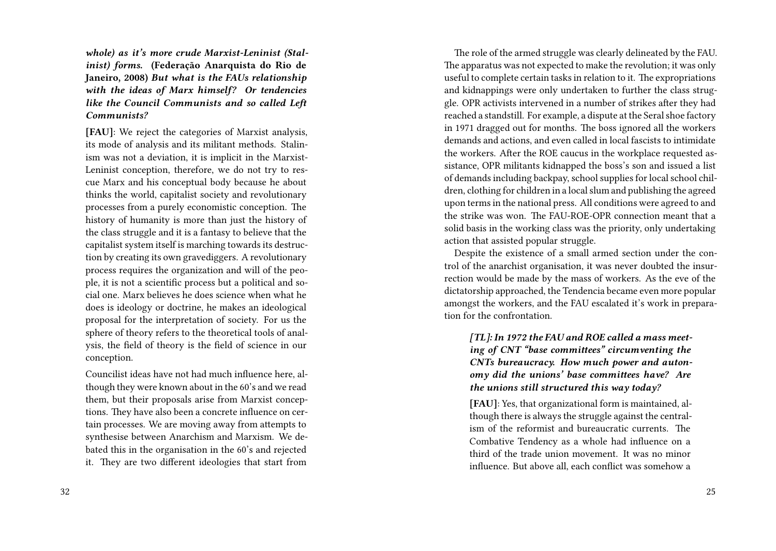*whole) as it's more crude Marxist-Leninist (Stalinist) forms.* **(Federação Anarquista do Rio de Janeiro, 2008)** *But what is the FAUs relationship with the ideas of Marx himself? Or tendencies like the Council Communists and so called Left Communists?*

**[FAU]**: We reject the categories of Marxist analysis, its mode of analysis and its militant methods. Stalinism was not a deviation, it is implicit in the Marxist-Leninist conception, therefore, we do not try to rescue Marx and his conceptual body because he about thinks the world, capitalist society and revolutionary processes from a purely economistic conception. The history of humanity is more than just the history of the class struggle and it is a fantasy to believe that the capitalist system itself is marching towards its destruction by creating its own gravediggers. A revolutionary process requires the organization and will of the people, it is not a scientific process but a political and social one. Marx believes he does science when what he does is ideology or doctrine, he makes an ideological proposal for the interpretation of society. For us the sphere of theory refers to the theoretical tools of analysis, the field of theory is the field of science in our conception.

Councilist ideas have not had much influence here, although they were known about in the 60's and we read them, but their proposals arise from Marxist conceptions. They have also been a concrete influence on certain processes. We are moving away from attempts to synthesise between Anarchism and Marxism. We debated this in the organisation in the 60's and rejected it. They are two different ideologies that start from

The role of the armed struggle was clearly delineated by the FAU. The apparatus was not expected to make the revolution; it was only useful to complete certain tasks in relation to it. The expropriations and kidnappings were only undertaken to further the class struggle. OPR activists intervened in a number of strikes after they had reached a standstill. For example, a dispute at the Seral shoe factory in 1971 dragged out for months. The boss ignored all the workers demands and actions, and even called in local fascists to intimidate the workers. After the ROE caucus in the workplace requested assistance, OPR militants kidnapped the boss's son and issued a list of demands including backpay, school supplies for local school children, clothing for children in a local slum and publishing the agreed upon terms in the national press. All conditions were agreed to and the strike was won. The FAU-ROE-OPR connection meant that a solid basis in the working class was the priority, only undertaking action that assisted popular struggle.

Despite the existence of a small armed section under the control of the anarchist organisation, it was never doubted the insurrection would be made by the mass of workers. As the eve of the dictatorship approached, the Tendencia became even more popular amongst the workers, and the FAU escalated it's work in preparation for the confrontation.

*[TL]: In 1972 the FAU and ROE called a mass meeting of CNT "base committees" circumventing the CNTs bureaucracy. How much power and autonomy did the unions' base committees have? Are the unions still structured this way today?*

**[FAU]**: Yes, that organizational form is maintained, although there is always the struggle against the centralism of the reformist and bureaucratic currents. The Combative Tendency as a whole had influence on a third of the trade union movement. It was no minor influence. But above all, each conflict was somehow a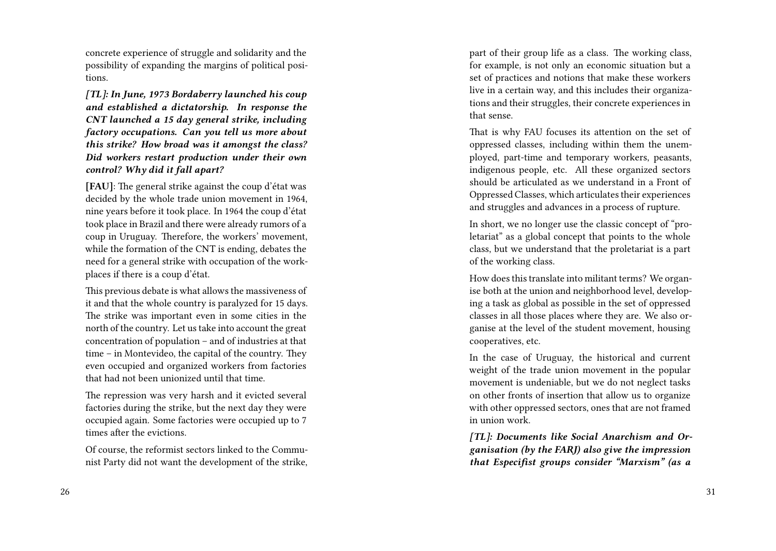concrete experience of struggle and solidarity and the possibility of expanding the margins of political positions.

*[TL]: In June, 1973 Bordaberry launched his coup and established a dictatorship. In response the CNT launched a 15 day general strike, including factory occupations. Can you tell us more about this strike? How broad was it amongst the class? Did workers restart production under their own control? Why did it fall apart?*

**[FAU]**: The general strike against the coup d'état was decided by the whole trade union movement in 1964, nine years before it took place. In 1964 the coup d'état took place in Brazil and there were already rumors of a coup in Uruguay. Therefore, the workers' movement, while the formation of the CNT is ending, debates the need for a general strike with occupation of the workplaces if there is a coup d'état.

This previous debate is what allows the massiveness of it and that the whole country is paralyzed for 15 days. The strike was important even in some cities in the north of the country. Let us take into account the great concentration of population – and of industries at that time – in Montevideo, the capital of the country. They even occupied and organized workers from factories that had not been unionized until that time.

The repression was very harsh and it evicted several factories during the strike, but the next day they were occupied again. Some factories were occupied up to 7 times after the evictions.

Of course, the reformist sectors linked to the Communist Party did not want the development of the strike, part of their group life as a class. The working class, for example, is not only an economic situation but a set of practices and notions that make these workers live in a certain way, and this includes their organizations and their struggles, their concrete experiences in that sense.

That is why FAU focuses its attention on the set of oppressed classes, including within them the unemployed, part-time and temporary workers, peasants, indigenous people, etc. All these organized sectors should be articulated as we understand in a Front of Oppressed Classes, which articulates their experiences and struggles and advances in a process of rupture.

In short, we no longer use the classic concept of "proletariat" as a global concept that points to the whole class, but we understand that the proletariat is a part of the working class.

How does this translate into militant terms? We organise both at the union and neighborhood level, developing a task as global as possible in the set of oppressed classes in all those places where they are. We also organise at the level of the student movement, housing cooperatives, etc.

In the case of Uruguay, the historical and current weight of the trade union movement in the popular movement is undeniable, but we do not neglect tasks on other fronts of insertion that allow us to organize with other oppressed sectors, ones that are not framed in union work.

*[TL]: Documents like Social Anarchism and Organisation (by the FARJ) also give the impression that Especifist groups consider "Marxism" (as a*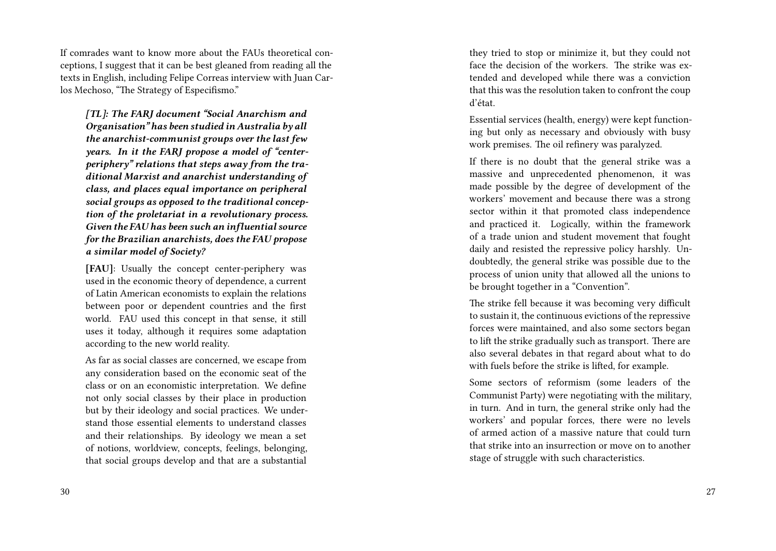If comrades want to know more about the FAUs theoretical conceptions, I suggest that it can be best gleaned from reading all the texts in English, including Felipe Correas interview with Juan Carlos Mechoso, "The Strategy of Especifismo."

*[TL]: The FARJ document "Social Anarchism and Organisation" has been studied in Australia by all the anarchist-communist groups over the last few years. In it the FARJ propose a model of "centerperiphery" relations that steps away from the traditional Marxist and anarchist understanding of class, and places equal importance on peripheral social groups as opposed to the traditional conception of the proletariat in a revolutionary process. Given the FAU has been such an influential source for the Brazilian anarchists, does the FAU propose a similar model of Society?*

**[FAU]**: Usually the concept center-periphery was used in the economic theory of dependence, a current of Latin American economists to explain the relations between poor or dependent countries and the first world. FAU used this concept in that sense, it still uses it today, although it requires some adaptation according to the new world reality.

As far as social classes are concerned, we escape from any consideration based on the economic seat of the class or on an economistic interpretation. We define not only social classes by their place in production but by their ideology and social practices. We understand those essential elements to understand classes and their relationships. By ideology we mean a set of notions, worldview, concepts, feelings, belonging, that social groups develop and that are a substantial

they tried to stop or minimize it, but they could not face the decision of the workers. The strike was extended and developed while there was a conviction that this was the resolution taken to confront the coup d'état.

Essential services (health, energy) were kept functioning but only as necessary and obviously with busy work premises. The oil refinery was paralyzed.

If there is no doubt that the general strike was a massive and unprecedented phenomenon, it was made possible by the degree of development of the workers' movement and because there was a strong sector within it that promoted class independence and practiced it. Logically, within the framework of a trade union and student movement that fought daily and resisted the repressive policy harshly. Undoubtedly, the general strike was possible due to the process of union unity that allowed all the unions to be brought together in a "Convention".

The strike fell because it was becoming very difficult to sustain it, the continuous evictions of the repressive forces were maintained, and also some sectors began to lift the strike gradually such as transport. There are also several debates in that regard about what to do with fuels before the strike is lifted, for example.

Some sectors of reformism (some leaders of the Communist Party) were negotiating with the military, in turn. And in turn, the general strike only had the workers' and popular forces, there were no levels of armed action of a massive nature that could turn that strike into an insurrection or move on to another stage of struggle with such characteristics.